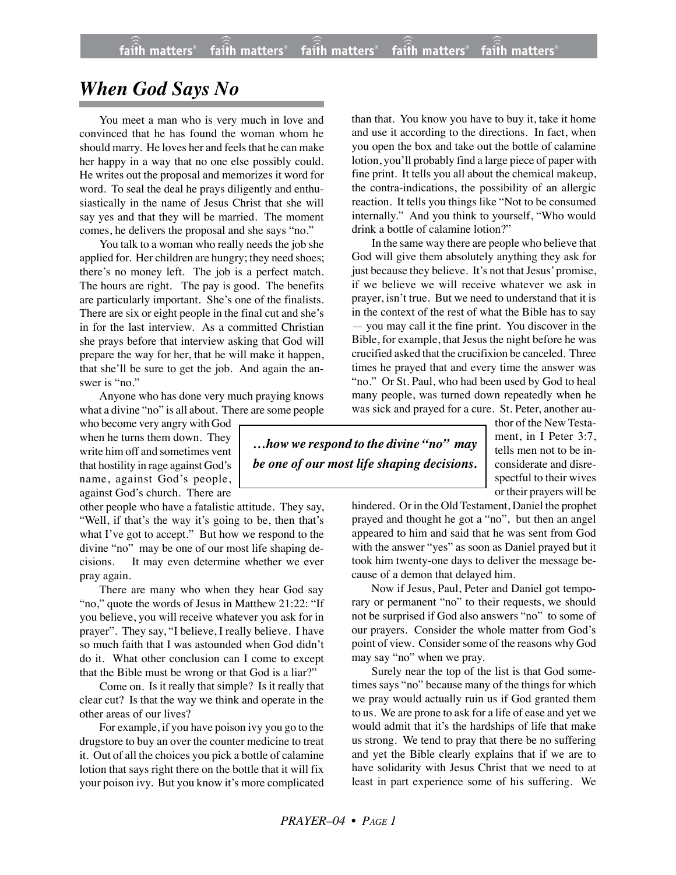## *When God Says No*

You meet a man who is very much in love and convinced that he has found the woman whom he should marry. He loves her and feels that he can make her happy in a way that no one else possibly could. He writes out the proposal and memorizes it word for word. To seal the deal he prays diligently and enthusiastically in the name of Jesus Christ that she will say yes and that they will be married. The moment comes, he delivers the proposal and she says "no."

You talk to a woman who really needs the job she applied for. Her children are hungry; they need shoes; there's no money left. The job is a perfect match. The hours are right. The pay is good. The benefits are particularly important. She's one of the finalists. There are six or eight people in the final cut and she's in for the last interview. As a committed Christian she prays before that interview asking that God will prepare the way for her, that he will make it happen, that she'll be sure to get the job. And again the answer is "no."

Anyone who has done very much praying knows what a divine "no" is all about. There are some people

who become very angry with God when he turns them down. They write him off and sometimes vent that hostility in rage against God's name, against God's people, against God's church. There are

other people who have a fatalistic attitude. They say, "Well, if that's the way it's going to be, then that's what I've got to accept." But how we respond to the divine "no" may be one of our most life shaping decisions. It may even determine whether we ever pray again.

There are many who when they hear God say "no," quote the words of Jesus in Matthew 21:22: "If you believe, you will receive whatever you ask for in prayer". They say, "I believe, I really believe. I have so much faith that I was astounded when God didn't do it. What other conclusion can I come to except that the Bible must be wrong or that God is a liar?"

Come on. Is it really that simple? Is it really that clear cut? Is that the way we think and operate in the other areas of our lives?

For example, if you have poison ivy you go to the drugstore to buy an over the counter medicine to treat it. Out of all the choices you pick a bottle of calamine lotion that says right there on the bottle that it will fix your poison ivy. But you know it's more complicated than that. You know you have to buy it, take it home and use it according to the directions. In fact, when you open the box and take out the bottle of calamine lotion, you'll probably find a large piece of paper with fine print. It tells you all about the chemical makeup, the contra-indications, the possibility of an allergic reaction. It tells you things like "Not to be consumed internally." And you think to yourself, "Who would drink a bottle of calamine lotion?"

In the same way there are people who believe that God will give them absolutely anything they ask for just because they believe. It's not that Jesus' promise, if we believe we will receive whatever we ask in prayer, isn't true. But we need to understand that it is in the context of the rest of what the Bible has to say — you may call it the fine print. You discover in the Bible, for example, that Jesus the night before he was crucified asked that the crucifixion be canceled. Three times he prayed that and every time the answer was "no." Or St. Paul, who had been used by God to heal many people, was turned down repeatedly when he was sick and prayed for a cure. St. Peter, another au-

*…how we respond to the divine "no" may be one of our most life shaping decisions.*

thor of the New Testament, in I Peter 3:7, tells men not to be inconsiderate and disrespectful to their wives or their prayers will be

hindered. Or in the Old Testament, Daniel the prophet prayed and thought he got a "no", but then an angel appeared to him and said that he was sent from God with the answer "yes" as soon as Daniel prayed but it took him twenty-one days to deliver the message because of a demon that delayed him.

Now if Jesus, Paul, Peter and Daniel got temporary or permanent "no" to their requests, we should not be surprised if God also answers "no" to some of our prayers. Consider the whole matter from God's point of view. Consider some of the reasons why God may say "no" when we pray.

Surely near the top of the list is that God sometimes says "no" because many of the things for which we pray would actually ruin us if God granted them to us. We are prone to ask for a life of ease and yet we would admit that it's the hardships of life that make us strong. We tend to pray that there be no suffering and yet the Bible clearly explains that if we are to have solidarity with Jesus Christ that we need to at least in part experience some of his suffering. We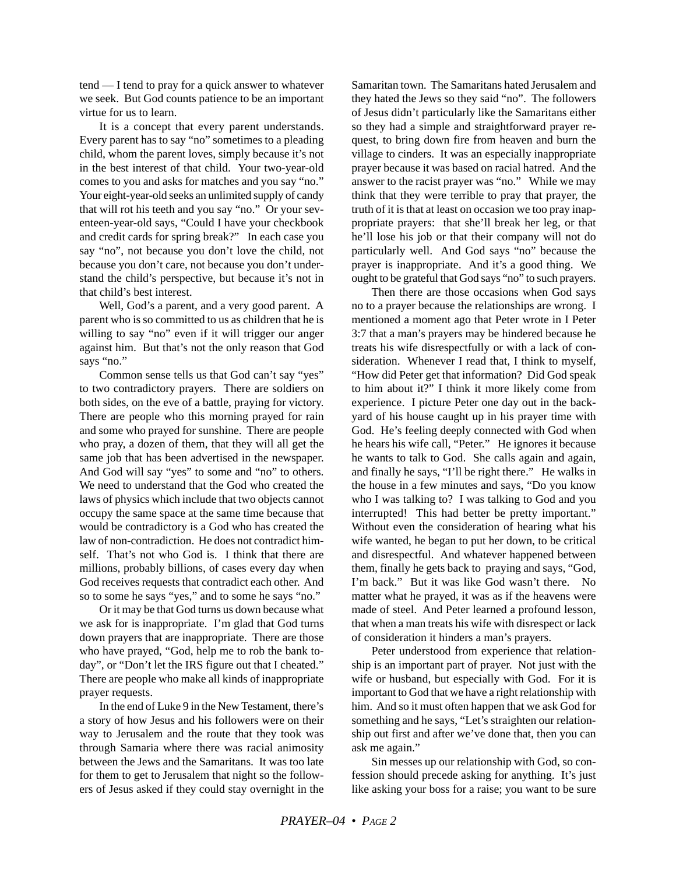tend — I tend to pray for a quick answer to whatever we seek. But God counts patience to be an important virtue for us to learn.

It is a concept that every parent understands. Every parent has to say "no" sometimes to a pleading child, whom the parent loves, simply because it's not in the best interest of that child. Your two-year-old comes to you and asks for matches and you say "no." Your eight-year-old seeks an unlimited supply of candy that will rot his teeth and you say "no." Or your seventeen-year-old says, "Could I have your checkbook and credit cards for spring break?" In each case you say "no", not because you don't love the child, not because you don't care, not because you don't understand the child's perspective, but because it's not in that child's best interest.

Well, God's a parent, and a very good parent. A parent who is so committed to us as children that he is willing to say "no" even if it will trigger our anger against him. But that's not the only reason that God says "no."

Common sense tells us that God can't say "yes" to two contradictory prayers. There are soldiers on both sides, on the eve of a battle, praying for victory. There are people who this morning prayed for rain and some who prayed for sunshine. There are people who pray, a dozen of them, that they will all get the same job that has been advertised in the newspaper. And God will say "yes" to some and "no" to others. We need to understand that the God who created the laws of physics which include that two objects cannot occupy the same space at the same time because that would be contradictory is a God who has created the law of non-contradiction. He does not contradict himself. That's not who God is. I think that there are millions, probably billions, of cases every day when God receives requests that contradict each other. And so to some he says "yes," and to some he says "no."

Or it may be that God turns us down because what we ask for is inappropriate. I'm glad that God turns down prayers that are inappropriate. There are those who have prayed, "God, help me to rob the bank today", or "Don't let the IRS figure out that I cheated." There are people who make all kinds of inappropriate prayer requests.

In the end of Luke 9 in the New Testament, there's a story of how Jesus and his followers were on their way to Jerusalem and the route that they took was through Samaria where there was racial animosity between the Jews and the Samaritans. It was too late for them to get to Jerusalem that night so the followers of Jesus asked if they could stay overnight in the Samaritan town. The Samaritans hated Jerusalem and they hated the Jews so they said "no". The followers of Jesus didn't particularly like the Samaritans either so they had a simple and straightforward prayer request, to bring down fire from heaven and burn the village to cinders. It was an especially inappropriate prayer because it was based on racial hatred. And the answer to the racist prayer was "no." While we may think that they were terrible to pray that prayer, the truth of it is that at least on occasion we too pray inappropriate prayers: that she'll break her leg, or that he'll lose his job or that their company will not do particularly well. And God says "no" because the prayer is inappropriate. And it's a good thing. We ought to be grateful that God says "no" to such prayers.

Then there are those occasions when God says no to a prayer because the relationships are wrong. I mentioned a moment ago that Peter wrote in I Peter 3:7 that a man's prayers may be hindered because he treats his wife disrespectfully or with a lack of consideration. Whenever I read that, I think to myself, "How did Peter get that information? Did God speak to him about it?" I think it more likely come from experience. I picture Peter one day out in the backyard of his house caught up in his prayer time with God. He's feeling deeply connected with God when he hears his wife call, "Peter." He ignores it because he wants to talk to God. She calls again and again, and finally he says, "I'll be right there." He walks in the house in a few minutes and says, "Do you know who I was talking to? I was talking to God and you interrupted! This had better be pretty important." Without even the consideration of hearing what his wife wanted, he began to put her down, to be critical and disrespectful. And whatever happened between them, finally he gets back to praying and says, "God, I'm back." But it was like God wasn't there. No matter what he prayed, it was as if the heavens were made of steel. And Peter learned a profound lesson, that when a man treats his wife with disrespect or lack of consideration it hinders a man's prayers.

Peter understood from experience that relationship is an important part of prayer. Not just with the wife or husband, but especially with God. For it is important to God that we have a right relationship with him. And so it must often happen that we ask God for something and he says, "Let's straighten our relationship out first and after we've done that, then you can ask me again."

Sin messes up our relationship with God, so confession should precede asking for anything. It's just like asking your boss for a raise; you want to be sure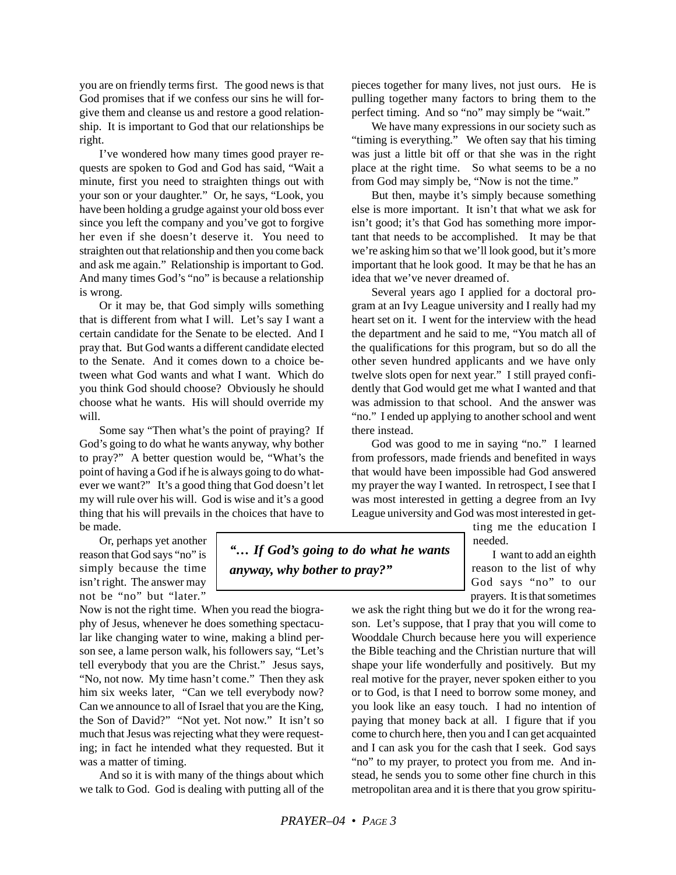you are on friendly terms first. The good news is that God promises that if we confess our sins he will forgive them and cleanse us and restore a good relationship. It is important to God that our relationships be right.

I've wondered how many times good prayer requests are spoken to God and God has said, "Wait a minute, first you need to straighten things out with your son or your daughter." Or, he says, "Look, you have been holding a grudge against your old boss ever since you left the company and you've got to forgive her even if she doesn't deserve it. You need to straighten out that relationship and then you come back and ask me again." Relationship is important to God. And many times God's "no" is because a relationship is wrong.

Or it may be, that God simply wills something that is different from what I will. Let's say I want a certain candidate for the Senate to be elected. And I pray that. But God wants a different candidate elected to the Senate. And it comes down to a choice between what God wants and what I want. Which do you think God should choose? Obviously he should choose what he wants. His will should override my will.

Some say "Then what's the point of praying? If God's going to do what he wants anyway, why bother to pray?" A better question would be, "What's the point of having a God if he is always going to do whatever we want?" It's a good thing that God doesn't let my will rule over his will. God is wise and it's a good thing that his will prevails in the choices that have to be made.

Or, perhaps yet another reason that God says "no" is simply because the time isn't right. The answer may not be "no" but "later."

Now is not the right time. When you read the biography of Jesus, whenever he does something spectacular like changing water to wine, making a blind person see, a lame person walk, his followers say, "Let's tell everybody that you are the Christ." Jesus says, "No, not now. My time hasn't come." Then they ask him six weeks later, "Can we tell everybody now? Can we announce to all of Israel that you are the King, the Son of David?" "Not yet. Not now." It isn't so much that Jesus was rejecting what they were requesting; in fact he intended what they requested. But it was a matter of timing.

And so it is with many of the things about which we talk to God. God is dealing with putting all of the pieces together for many lives, not just ours. He is pulling together many factors to bring them to the perfect timing. And so "no" may simply be "wait."

We have many expressions in our society such as "timing is everything." We often say that his timing was just a little bit off or that she was in the right place at the right time. So what seems to be a no from God may simply be, "Now is not the time."

But then, maybe it's simply because something else is more important. It isn't that what we ask for isn't good; it's that God has something more important that needs to be accomplished. It may be that we're asking him so that we'll look good, but it's more important that he look good. It may be that he has an idea that we've never dreamed of.

Several years ago I applied for a doctoral program at an Ivy League university and I really had my heart set on it. I went for the interview with the head the department and he said to me, "You match all of the qualifications for this program, but so do all the other seven hundred applicants and we have only twelve slots open for next year." I still prayed confidently that God would get me what I wanted and that was admission to that school. And the answer was "no." I ended up applying to another school and went there instead.

God was good to me in saying "no." I learned from professors, made friends and benefited in ways that would have been impossible had God answered my prayer the way I wanted. In retrospect, I see that I was most interested in getting a degree from an Ivy League university and God was most interested in get-

> ting me the education I needed.

I want to add an eighth reason to the list of why God says "no" to our prayers. It is that sometimes

we ask the right thing but we do it for the wrong reason. Let's suppose, that I pray that you will come to Wooddale Church because here you will experience the Bible teaching and the Christian nurture that will shape your life wonderfully and positively. But my real motive for the prayer, never spoken either to you or to God, is that I need to borrow some money, and you look like an easy touch. I had no intention of paying that money back at all. I figure that if you come to church here, then you and I can get acquainted and I can ask you for the cash that I seek. God says "no" to my prayer, to protect you from me. And instead, he sends you to some other fine church in this metropolitan area and it is there that you grow spiritu-

*"… If God's going to do what he wants anyway, why bother to pray?"*